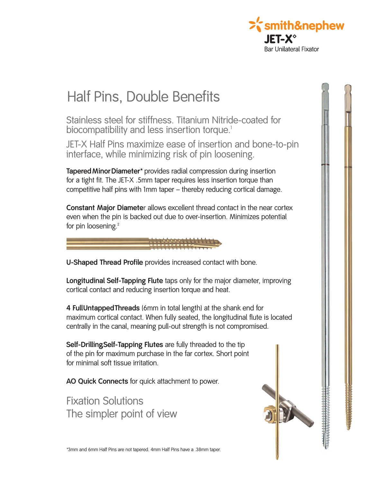

## Half Pins, Double Benefits

Stainless steel for stiffness. Titanium Nitride-coated for biocompatibility and less insertion torque.<sup>1</sup>

JET-X Half Pins maximize ease of insertion and bone-to-pin interface, while minimizing risk of pin loosening.

**TaperedMinorDiameter\*** provides radial compression during insertion for a tight fit. The JET-X .5mm taper requires less insertion torque than competitive half pins with 1mm taper – thereby reducing cortical damage.

**Constant Major Diameter** allows excellent thread contact in the near cortex even when the pin is backed out due to over-insertion. Minimizes potential for pin loosening.<sup>2</sup>

## **U-Shaped Thread Profile** provides increased contact with bone.

**Longitudinal Self-Tapping Flute** taps only for the major diameter, improving cortical contact and reducing insertion torque and heat.

**4 FullUntappedThreads** (6mm in total length) at the shank end for maximum cortical contact. When fully seated, the longitudinal flute is located centrally in the canal, meaning pull-out strength is not compromised.

**Self-Drilling, Self-Tapping Flutes** are fully threaded to the tip of the pin for maximum purchase in the far cortex. Short point for minimal soft tissue irritation.

**AO Quick Connects** for quick attachment to power.

Fixation Solutions The simpler point of view